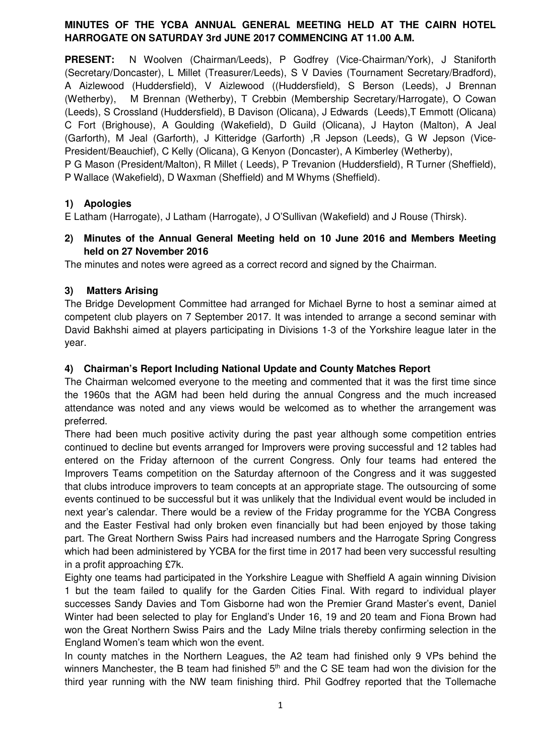# **MINUTES OF THE YCBA ANNUAL GENERAL MEETING HELD AT THE CAIRN HOTEL HARROGATE ON SATURDAY 3rd JUNE 2017 COMMENCING AT 11.00 A.M.**

**PRESENT:** N Woolven (Chairman/Leeds), P Godfrey (Vice-Chairman/York), J Staniforth (Secretary/Doncaster), L Millet (Treasurer/Leeds), S V Davies (Tournament Secretary/Bradford), A Aizlewood (Huddersfield), V Aizlewood ((Huddersfield), S Berson (Leeds), J Brennan (Wetherby), M Brennan (Wetherby), T Crebbin (Membership Secretary/Harrogate), O Cowan (Leeds), S Crossland (Huddersfield), B Davison (Olicana), J Edwards (Leeds),T Emmott (Olicana) C Fort (Brighouse), A Goulding (Wakefield), D Guild (Olicana), J Hayton (Malton), A Jeal (Garforth), M Jeal (Garforth), J Kitteridge (Garforth) ,R Jepson (Leeds), G W Jepson (Vice-President/Beauchief), C Kelly (Olicana), G Kenyon (Doncaster), A Kimberley (Wetherby),

P G Mason (President/Malton), R Millet ( Leeds), P Trevanion (Huddersfield), R Turner (Sheffield), P Wallace (Wakefield), D Waxman (Sheffield) and M Whyms (Sheffield).

# **1) Apologies**

E Latham (Harrogate), J Latham (Harrogate), J O'Sullivan (Wakefield) and J Rouse (Thirsk).

# **2) Minutes of the Annual General Meeting held on 10 June 2016 and Members Meeting held on 27 November 2016**

The minutes and notes were agreed as a correct record and signed by the Chairman.

## **3) Matters Arising**

The Bridge Development Committee had arranged for Michael Byrne to host a seminar aimed at competent club players on 7 September 2017. It was intended to arrange a second seminar with David Bakhshi aimed at players participating in Divisions 1-3 of the Yorkshire league later in the year.

# **4) Chairman's Report Including National Update and County Matches Report**

The Chairman welcomed everyone to the meeting and commented that it was the first time since the 1960s that the AGM had been held during the annual Congress and the much increased attendance was noted and any views would be welcomed as to whether the arrangement was preferred.

There had been much positive activity during the past year although some competition entries continued to decline but events arranged for Improvers were proving successful and 12 tables had entered on the Friday afternoon of the current Congress. Only four teams had entered the Improvers Teams competition on the Saturday afternoon of the Congress and it was suggested that clubs introduce improvers to team concepts at an appropriate stage. The outsourcing of some events continued to be successful but it was unlikely that the Individual event would be included in next year's calendar. There would be a review of the Friday programme for the YCBA Congress and the Easter Festival had only broken even financially but had been enjoyed by those taking part. The Great Northern Swiss Pairs had increased numbers and the Harrogate Spring Congress which had been administered by YCBA for the first time in 2017 had been very successful resulting in a profit approaching £7k.

Eighty one teams had participated in the Yorkshire League with Sheffield A again winning Division 1 but the team failed to qualify for the Garden Cities Final. With regard to individual player successes Sandy Davies and Tom Gisborne had won the Premier Grand Master's event, Daniel Winter had been selected to play for England's Under 16, 19 and 20 team and Fiona Brown had won the Great Northern Swiss Pairs and the Lady Milne trials thereby confirming selection in the England Women's team which won the event.

In county matches in the Northern Leagues, the A2 team had finished only 9 VPs behind the winners Manchester, the B team had finished  $5<sup>th</sup>$  and the C SE team had won the division for the third year running with the NW team finishing third. Phil Godfrey reported that the Tollemache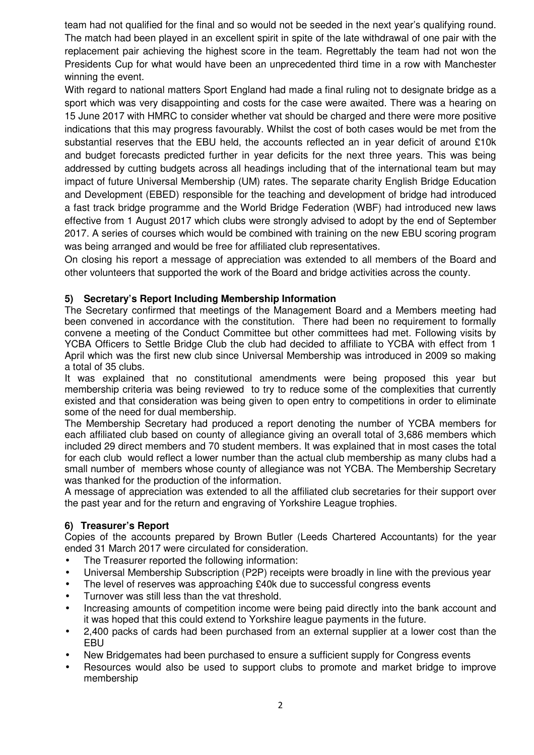team had not qualified for the final and so would not be seeded in the next year's qualifying round. The match had been played in an excellent spirit in spite of the late withdrawal of one pair with the replacement pair achieving the highest score in the team. Regrettably the team had not won the Presidents Cup for what would have been an unprecedented third time in a row with Manchester winning the event.

With regard to national matters Sport England had made a final ruling not to designate bridge as a sport which was very disappointing and costs for the case were awaited. There was a hearing on 15 June 2017 with HMRC to consider whether vat should be charged and there were more positive indications that this may progress favourably. Whilst the cost of both cases would be met from the substantial reserves that the EBU held, the accounts reflected an in year deficit of around £10k and budget forecasts predicted further in year deficits for the next three years. This was being addressed by cutting budgets across all headings including that of the international team but may impact of future Universal Membership (UM) rates. The separate charity English Bridge Education and Development (EBED) responsible for the teaching and development of bridge had introduced a fast track bridge programme and the World Bridge Federation (WBF) had introduced new laws effective from 1 August 2017 which clubs were strongly advised to adopt by the end of September 2017. A series of courses which would be combined with training on the new EBU scoring program was being arranged and would be free for affiliated club representatives.

On closing his report a message of appreciation was extended to all members of the Board and other volunteers that supported the work of the Board and bridge activities across the county.

## **5) Secretary's Report Including Membership Information**

The Secretary confirmed that meetings of the Management Board and a Members meeting had been convened in accordance with the constitution. There had been no requirement to formally convene a meeting of the Conduct Committee but other committees had met. Following visits by YCBA Officers to Settle Bridge Club the club had decided to affiliate to YCBA with effect from 1 April which was the first new club since Universal Membership was introduced in 2009 so making a total of 35 clubs.

It was explained that no constitutional amendments were being proposed this year but membership criteria was being reviewed to try to reduce some of the complexities that currently existed and that consideration was being given to open entry to competitions in order to eliminate some of the need for dual membership.

The Membership Secretary had produced a report denoting the number of YCBA members for each affiliated club based on county of allegiance giving an overall total of 3,686 members which included 29 direct members and 70 student members. It was explained that in most cases the total for each club would reflect a lower number than the actual club membership as many clubs had a small number of members whose county of allegiance was not YCBA. The Membership Secretary was thanked for the production of the information.

A message of appreciation was extended to all the affiliated club secretaries for their support over the past year and for the return and engraving of Yorkshire League trophies.

#### **6) Treasurer's Report**

Copies of the accounts prepared by Brown Butler (Leeds Chartered Accountants) for the year ended 31 March 2017 were circulated for consideration.

- The Treasurer reported the following information:
- Universal Membership Subscription (P2P) receipts were broadly in line with the previous year
- The level of reserves was approaching £40k due to successful congress events
- Turnover was still less than the vat threshold.
- Increasing amounts of competition income were being paid directly into the bank account and it was hoped that this could extend to Yorkshire league payments in the future.
- 2,400 packs of cards had been purchased from an external supplier at a lower cost than the EBU
- New Bridgemates had been purchased to ensure a sufficient supply for Congress events
- Resources would also be used to support clubs to promote and market bridge to improve membership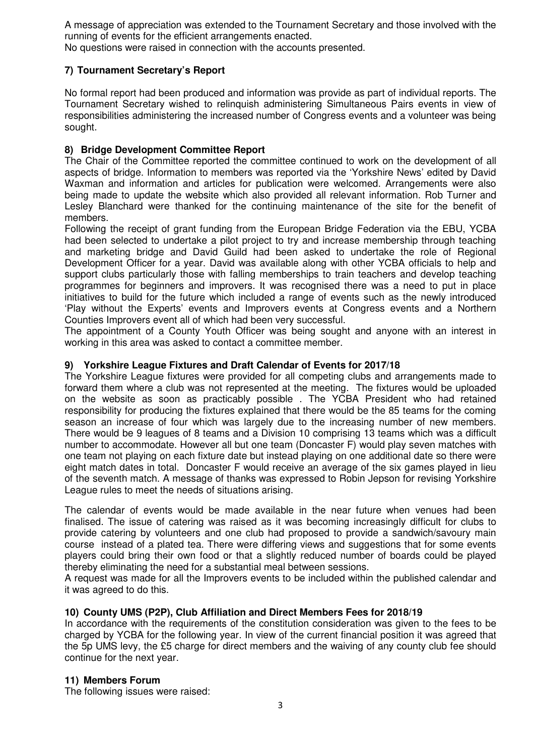A message of appreciation was extended to the Tournament Secretary and those involved with the running of events for the efficient arrangements enacted.

No questions were raised in connection with the accounts presented.

## **7) Tournament Secretary's Report**

No formal report had been produced and information was provide as part of individual reports. The Tournament Secretary wished to relinquish administering Simultaneous Pairs events in view of responsibilities administering the increased number of Congress events and a volunteer was being sought.

## **8) Bridge Development Committee Report**

The Chair of the Committee reported the committee continued to work on the development of all aspects of bridge. Information to members was reported via the 'Yorkshire News' edited by David Waxman and information and articles for publication were welcomed. Arrangements were also being made to update the website which also provided all relevant information. Rob Turner and Lesley Blanchard were thanked for the continuing maintenance of the site for the benefit of members.

Following the receipt of grant funding from the European Bridge Federation via the EBU, YCBA had been selected to undertake a pilot project to try and increase membership through teaching and marketing bridge and David Guild had been asked to undertake the role of Regional Development Officer for a year. David was available along with other YCBA officials to help and support clubs particularly those with falling memberships to train teachers and develop teaching programmes for beginners and improvers. It was recognised there was a need to put in place initiatives to build for the future which included a range of events such as the newly introduced 'Play without the Experts' events and Improvers events at Congress events and a Northern Counties Improvers event all of which had been very successful.

The appointment of a County Youth Officer was being sought and anyone with an interest in working in this area was asked to contact a committee member.

#### **9) Yorkshire League Fixtures and Draft Calendar of Events for 2017/18**

The Yorkshire League fixtures were provided for all competing clubs and arrangements made to forward them where a club was not represented at the meeting. The fixtures would be uploaded on the website as soon as practicably possible . The YCBA President who had retained responsibility for producing the fixtures explained that there would be the 85 teams for the coming season an increase of four which was largely due to the increasing number of new members. There would be 9 leagues of 8 teams and a Division 10 comprising 13 teams which was a difficult number to accommodate. However all but one team (Doncaster F) would play seven matches with one team not playing on each fixture date but instead playing on one additional date so there were eight match dates in total. Doncaster F would receive an average of the six games played in lieu of the seventh match. A message of thanks was expressed to Robin Jepson for revising Yorkshire League rules to meet the needs of situations arising.

The calendar of events would be made available in the near future when venues had been finalised. The issue of catering was raised as it was becoming increasingly difficult for clubs to provide catering by volunteers and one club had proposed to provide a sandwich/savoury main course instead of a plated tea. There were differing views and suggestions that for some events players could bring their own food or that a slightly reduced number of boards could be played thereby eliminating the need for a substantial meal between sessions.

A request was made for all the Improvers events to be included within the published calendar and it was agreed to do this.

#### **10) County UMS (P2P), Club Affiliation and Direct Members Fees for 2018/19**

In accordance with the requirements of the constitution consideration was given to the fees to be charged by YCBA for the following year. In view of the current financial position it was agreed that the 5p UMS levy, the £5 charge for direct members and the waiving of any county club fee should continue for the next year.

#### **11) Members Forum**

The following issues were raised: